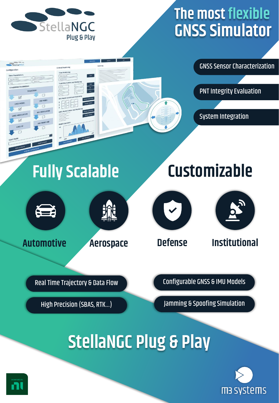

# **The most flexible GNSS Simulator**



**Fully Scalable Customizable**







 $\vee$ 



Real Time Trajectory & Data Flow **Configurable GNSS & IMU Models** 

High Precision (SBAS, RTK...) Jamming & Spoofing Simulation

# **StellaNGC Plug & Play**